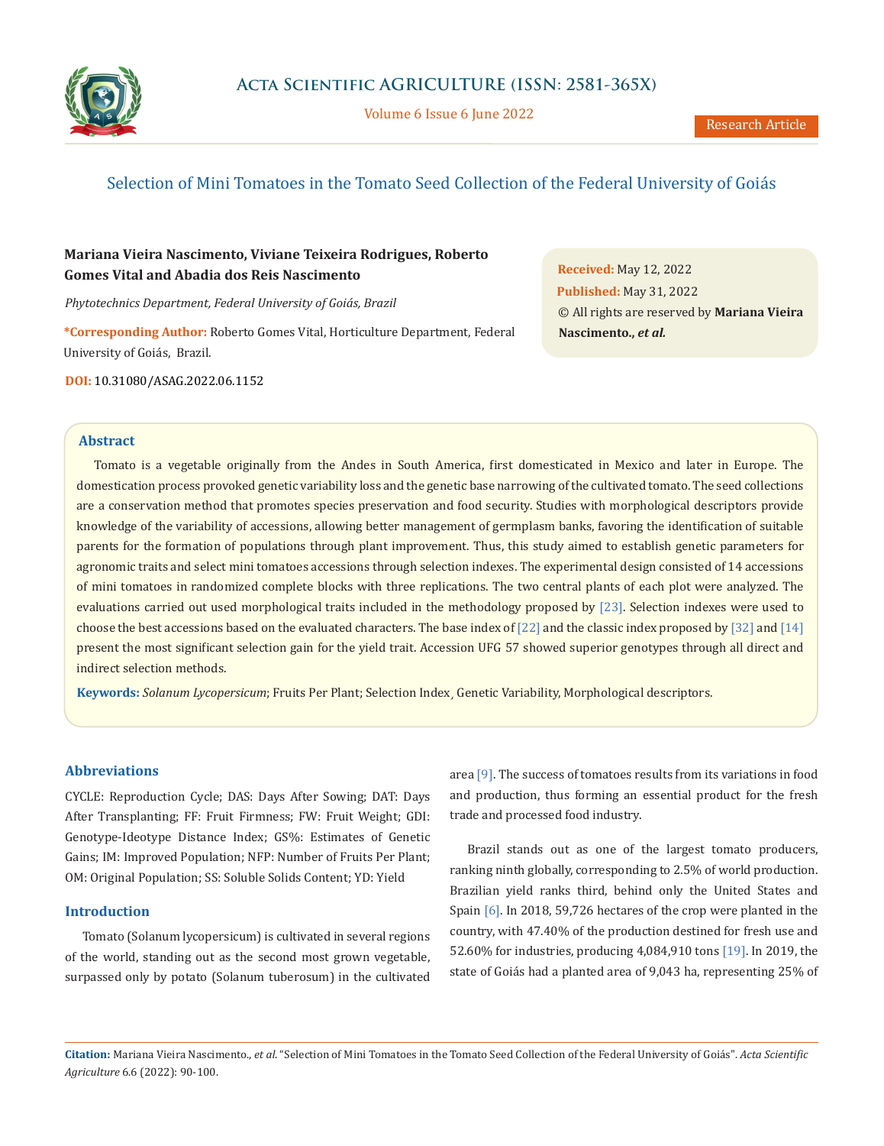

Volume 6 Issue 6 June 2022

# Selection of Mini Tomatoes in the Tomato Seed Collection of the Federal University of Goiás

## **Mariana Vieira Nascimento, Viviane Teixeira Rodrigues, Roberto Gomes Vital and Abadia dos Reis Nascimento**

*Phytotechnics Department, Federal University of Goiás, Brazil*

**\*Corresponding Author:** Roberto Gomes Vital, Horticulture Department, Federal University of Goiás, Brazil.

**DOI:** [10.31080/ASAG.2022.06.1152](https://www.actascientific.com/ASAG/pdf/ASAG-06-1152.pdf)

**Received:** May 12, 2022 **Published:** May 31, 2022 © All rights are reserved by **Mariana Vieira Nascimento.,** *et al.*

## **Abstract**

Tomato is a vegetable originally from the Andes in South America, first domesticated in Mexico and later in Europe. The domestication process provoked genetic variability loss and the genetic base narrowing of the cultivated tomato. The seed collections are a conservation method that promotes species preservation and food security. Studies with morphological descriptors provide knowledge of the variability of accessions, allowing better management of germplasm banks, favoring the identification of suitable parents for the formation of populations through plant improvement. Thus, this study aimed to establish genetic parameters for agronomic traits and select mini tomatoes accessions through selection indexes. The experimental design consisted of 14 accessions of mini tomatoes in randomized complete blocks with three replications. The two central plants of each plot were analyzed. The evaluations carried out used morphological traits included in the methodology proposed by [23]. Selection indexes were used to choose the best accessions based on the evaluated characters. The base index of [22] and the classic index proposed by [32] and [14] present the most significant selection gain for the yield trait. Accession UFG 57 showed superior genotypes through all direct and indirect selection methods.

**Keywords:** *Solanum Lycopersicum*; Fruits Per Plant; Selection Index¸ Genetic Variability, Morphological descriptors.

## **Abbreviations**

CYCLE: Reproduction Cycle; DAS: Days After Sowing; DAT: Days After Transplanting; FF: Fruit Firmness; FW: Fruit Weight; GDI: Genotype-Ideotype Distance Index; GS%: Estimates of Genetic Gains; IM: Improved Population; NFP: Number of Fruits Per Plant; OM: Original Population; SS: Soluble Solids Content; YD: Yield

#### **Introduction**

Tomato (Solanum lycopersicum) is cultivated in several regions of the world, standing out as the second most grown vegetable, surpassed only by potato (Solanum tuberosum) in the cultivated area [9]. The success of tomatoes results from its variations in food and production, thus forming an essential product for the fresh trade and processed food industry.

Brazil stands out as one of the largest tomato producers, ranking ninth globally, corresponding to 2.5% of world production. Brazilian yield ranks third, behind only the United States and Spain [6]. In 2018, 59,726 hectares of the crop were planted in the country, with 47.40% of the production destined for fresh use and 52.60% for industries, producing 4,084,910 tons [19]. In 2019, the state of Goiás had a planted area of 9,043 ha, representing 25% of

**Citation:** Mariana Vieira Nascimento., *et al*. "Selection of Mini Tomatoes in the Tomato Seed Collection of the Federal University of Goiás". *Acta Scientific Agriculture* 6.6 (2022): 90-100.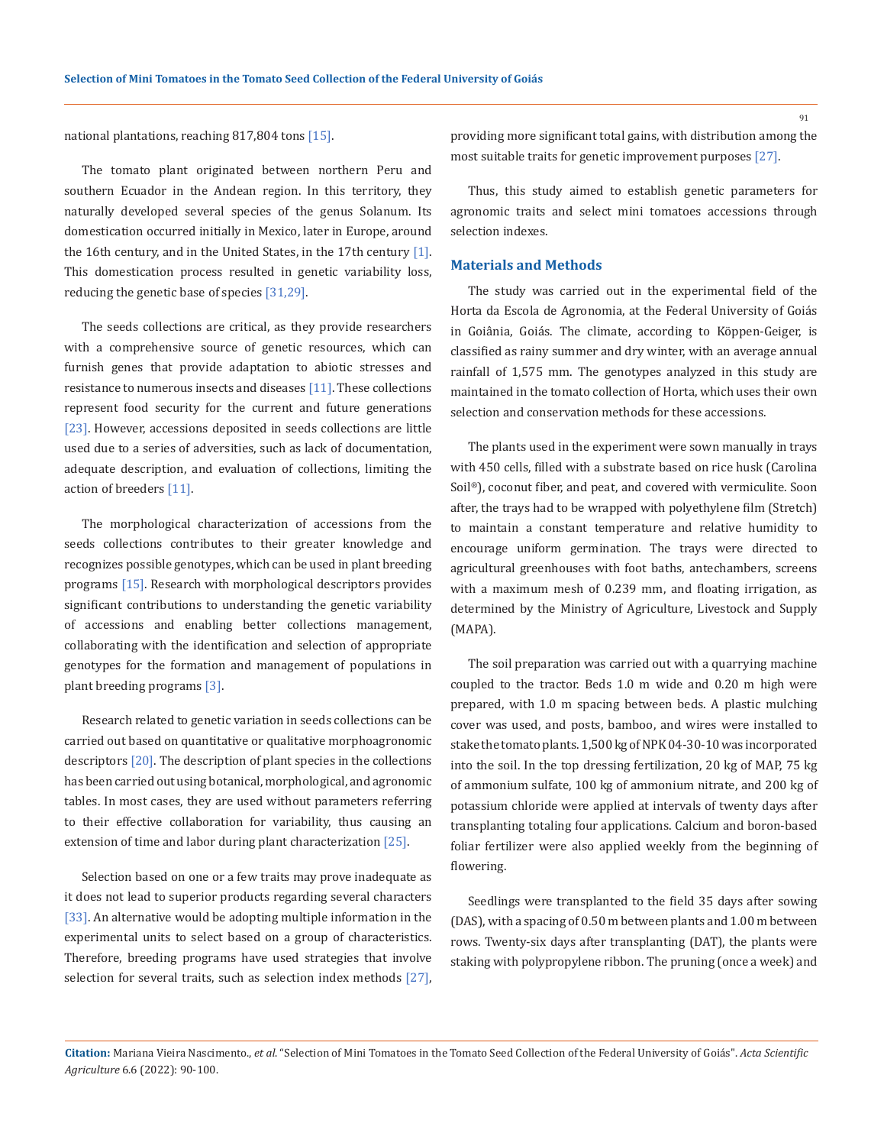national plantations, reaching 817,804 tons [15].

The tomato plant originated between northern Peru and southern Ecuador in the Andean region. In this territory, they naturally developed several species of the genus Solanum. Its domestication occurred initially in Mexico, later in Europe, around the 16th century, and in the United States, in the 17th century [1]. This domestication process resulted in genetic variability loss, reducing the genetic base of species [31,29].

The seeds collections are critical, as they provide researchers with a comprehensive source of genetic resources, which can furnish genes that provide adaptation to abiotic stresses and resistance to numerous insects and diseases [11]. These collections represent food security for the current and future generations [23]. However, accessions deposited in seeds collections are little used due to a series of adversities, such as lack of documentation, adequate description, and evaluation of collections, limiting the action of breeders [11].

The morphological characterization of accessions from the seeds collections contributes to their greater knowledge and recognizes possible genotypes, which can be used in plant breeding programs [15]. Research with morphological descriptors provides significant contributions to understanding the genetic variability of accessions and enabling better collections management, collaborating with the identification and selection of appropriate genotypes for the formation and management of populations in plant breeding programs [3].

Research related to genetic variation in seeds collections can be carried out based on quantitative or qualitative morphoagronomic descriptors [20]. The description of plant species in the collections has been carried out using botanical, morphological, and agronomic tables. In most cases, they are used without parameters referring to their effective collaboration for variability, thus causing an extension of time and labor during plant characterization [25].

Selection based on one or a few traits may prove inadequate as it does not lead to superior products regarding several characters [33]. An alternative would be adopting multiple information in the experimental units to select based on a group of characteristics. Therefore, breeding programs have used strategies that involve selection for several traits, such as selection index methods [27], providing more significant total gains, with distribution among the most suitable traits for genetic improvement purposes [27].

Thus, this study aimed to establish genetic parameters for agronomic traits and select mini tomatoes accessions through selection indexes.

#### **Materials and Methods**

The study was carried out in the experimental field of the Horta da Escola de Agronomia, at the Federal University of Goiás in Goiânia, Goiás. The climate, according to Köppen-Geiger, is classified as rainy summer and dry winter, with an average annual rainfall of 1,575 mm. The genotypes analyzed in this study are maintained in the tomato collection of Horta, which uses their own selection and conservation methods for these accessions.

The plants used in the experiment were sown manually in trays with 450 cells, filled with a substrate based on rice husk (Carolina Soil®), coconut fiber, and peat, and covered with vermiculite. Soon after, the trays had to be wrapped with polyethylene film (Stretch) to maintain a constant temperature and relative humidity to encourage uniform germination. The trays were directed to agricultural greenhouses with foot baths, antechambers, screens with a maximum mesh of 0.239 mm, and floating irrigation, as determined by the Ministry of Agriculture, Livestock and Supply (MAPA).

The soil preparation was carried out with a quarrying machine coupled to the tractor. Beds 1.0 m wide and 0.20 m high were prepared, with 1.0 m spacing between beds. A plastic mulching cover was used, and posts, bamboo, and wires were installed to stake the tomato plants. 1,500 kg of NPK 04-30-10 was incorporated into the soil. In the top dressing fertilization, 20 kg of MAP, 75 kg of ammonium sulfate, 100 kg of ammonium nitrate, and 200 kg of potassium chloride were applied at intervals of twenty days after transplanting totaling four applications. Calcium and boron-based foliar fertilizer were also applied weekly from the beginning of flowering.

Seedlings were transplanted to the field 35 days after sowing (DAS), with a spacing of 0.50 m between plants and 1.00 m between rows. Twenty-six days after transplanting (DAT), the plants were staking with polypropylene ribbon. The pruning (once a week) and

**Citation:** Mariana Vieira Nascimento., *et al*. "Selection of Mini Tomatoes in the Tomato Seed Collection of the Federal University of Goiás". *Acta Scientific Agriculture* 6.6 (2022): 90-100.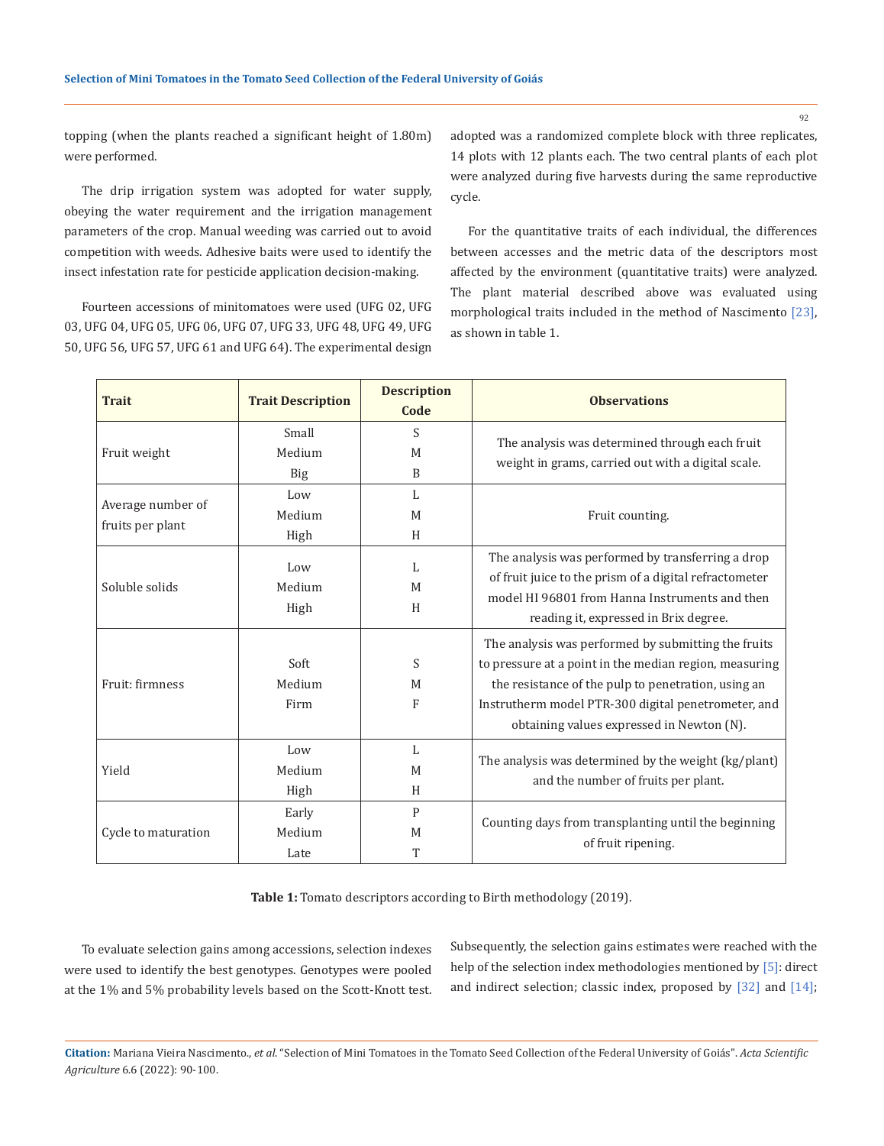topping (when the plants reached a significant height of 1.80m) were performed.

The drip irrigation system was adopted for water supply, obeying the water requirement and the irrigation management parameters of the crop. Manual weeding was carried out to avoid competition with weeds. Adhesive baits were used to identify the insect infestation rate for pesticide application decision-making.

Fourteen accessions of minitomatoes were used (UFG 02, UFG 03, UFG 04, UFG 05, UFG 06, UFG 07, UFG 33, UFG 48, UFG 49, UFG 50, UFG 56, UFG 57, UFG 61 and UFG 64). The experimental design adopted was a randomized complete block with three replicates, 14 plots with 12 plants each. The two central plants of each plot were analyzed during five harvests during the same reproductive cycle.

For the quantitative traits of each individual, the differences between accesses and the metric data of the descriptors most affected by the environment (quantitative traits) were analyzed. The plant material described above was evaluated using morphological traits included in the method of Nascimento [23], as shown in table 1.

| <b>Trait</b>                          | <b>Trait Description</b>                          | <b>Description</b><br>Code | <b>Observations</b>                                                                                                                                                                                                                                                      |
|---------------------------------------|---------------------------------------------------|----------------------------|--------------------------------------------------------------------------------------------------------------------------------------------------------------------------------------------------------------------------------------------------------------------------|
| Fruit weight                          | Small<br>Medium<br><b>Big</b>                     | S<br>M<br>B                | The analysis was determined through each fruit<br>weight in grams, carried out with a digital scale.                                                                                                                                                                     |
| Average number of<br>fruits per plant | Low<br>Medium<br>High                             | L<br>M<br>H                | Fruit counting.                                                                                                                                                                                                                                                          |
| Soluble solids                        | Low<br>Medium<br>High                             | L<br>M<br>H                | The analysis was performed by transferring a drop<br>of fruit juice to the prism of a digital refractometer<br>model HI 96801 from Hanna Instruments and then<br>reading it, expressed in Brix degree.                                                                   |
| Fruit: firmness                       | Soft<br>Medium<br>Firm                            | S<br>M<br>F                | The analysis was performed by submitting the fruits<br>to pressure at a point in the median region, measuring<br>the resistance of the pulp to penetration, using an<br>Instrutherm model PTR-300 digital penetrometer, and<br>obtaining values expressed in Newton (N). |
| Yield                                 | Low<br>Medium<br>High                             | L<br>M<br>H                | The analysis was determined by the weight (kg/plant)<br>and the number of fruits per plant.                                                                                                                                                                              |
| Cycle to maturation                   | $\mathsf{P}$<br>Early<br>Medium<br>M<br>T<br>Late |                            | Counting days from transplanting until the beginning<br>of fruit ripening.                                                                                                                                                                                               |

**Table 1:** Tomato descriptors according to Birth methodology (2019).

To evaluate selection gains among accessions, selection indexes were used to identify the best genotypes. Genotypes were pooled at the 1% and 5% probability levels based on the Scott-Knott test. Subsequently, the selection gains estimates were reached with the help of the selection index methodologies mentioned by [5]: direct and indirect selection; classic index, proposed by [32] and [14];

**Citation:** Mariana Vieira Nascimento., *et al*. "Selection of Mini Tomatoes in the Tomato Seed Collection of the Federal University of Goiás". *Acta Scientific Agriculture* 6.6 (2022): 90-100.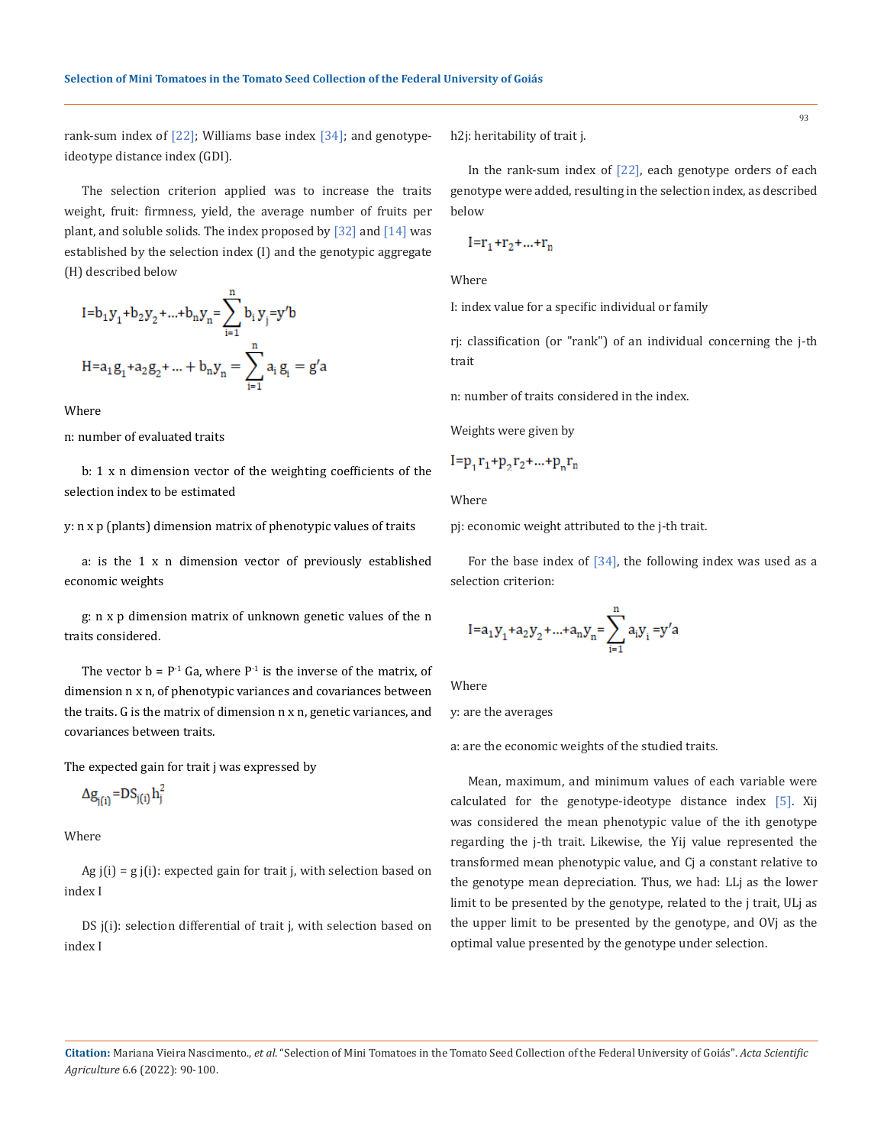rank-sum index of  $[22]$ ; Williams base index  $[34]$ ; and genotypeideotype distance index (GDI).

The selection criterion applied was to increase the traits weight, fruit: firmness, yield, the average number of fruits per plant, and soluble solids. The index proposed by [32] and [14] was established by the selection index (I) and the genotypic aggregate (H) described below

$$
I = b_1 y_1 + b_2 y_2 + \dots + b_n y_n = \sum_{i=1}^n b_i y_i = y'b
$$
  

$$
H = a_1 g_1 + a_2 g_2 + \dots + b_n y_n = \sum_{i=1}^n a_i g_i = g'a
$$

Where

n: number of evaluated traits

b: 1 x n dimension vector of the weighting coefficients of the selection index to be estimated

y: n x p (plants) dimension matrix of phenotypic values of traits

a: is the 1 x n dimension vector of previously established economic weights

g: n x p dimension matrix of unknown genetic values of the n traits considered.

The vector  $b = P^{-1}$  Ga, where  $P^{-1}$  is the inverse of the matrix, of dimension n x n, of phenotypic variances and covariances between the traits. G is the matrix of dimension n x n, genetic variances, and covariances between traits.

The expected gain for trait j was expressed by

$$
\Delta g_{j(i)} = DS_{j(i)} h_j^2
$$

Where

Ag  $j(i)$  = g  $j(i)$ : expected gain for trait j, with selection based on index I

DS j(i): selection differential of trait j, with selection based on index I

h2j: heritability of trait j.

$$
I=r_1+r_2+...+r_n
$$

Where

I: index value for a specific individual or family

rj: classification (or "rank") of an individual concerning the j-th trait

n: number of traits considered in the index.

Weights were given by

$$
1=p_1r_1+p_2r_2+...+p_nr_n
$$

Where

pj: economic weight attributed to the j-th trait.

For the base index of  $[34]$ , the following index was used as a selection criterion:

$$
I = a_1 y_1 + a_2 y_2 + \dots + a_n y_n = \sum_{i=1}^n a_i y_i = y'^2
$$

Where

y: are the averages

a: are the economic weights of the studied traits.

Mean, maximum, and minimum values of each variable were calculated for the genotype-ideotype distance index [5]. Xij was considered the mean phenotypic value of the ith genotype regarding the j-th trait. Likewise, the Yij value represented the transformed mean phenotypic value, and Cj a constant relative to the genotype mean depreciation. Thus, we had: LLj as the lower limit to be presented by the genotype, related to the j trait, ULj as the upper limit to be presented by the genotype, and OVj as the optimal value presented by the genotype under selection.

**Citation:** Mariana Vieira Nascimento., *et al*. "Selection of Mini Tomatoes in the Tomato Seed Collection of the Federal University of Goiás". *Acta Scientific Agriculture* 6.6 (2022): 90-100.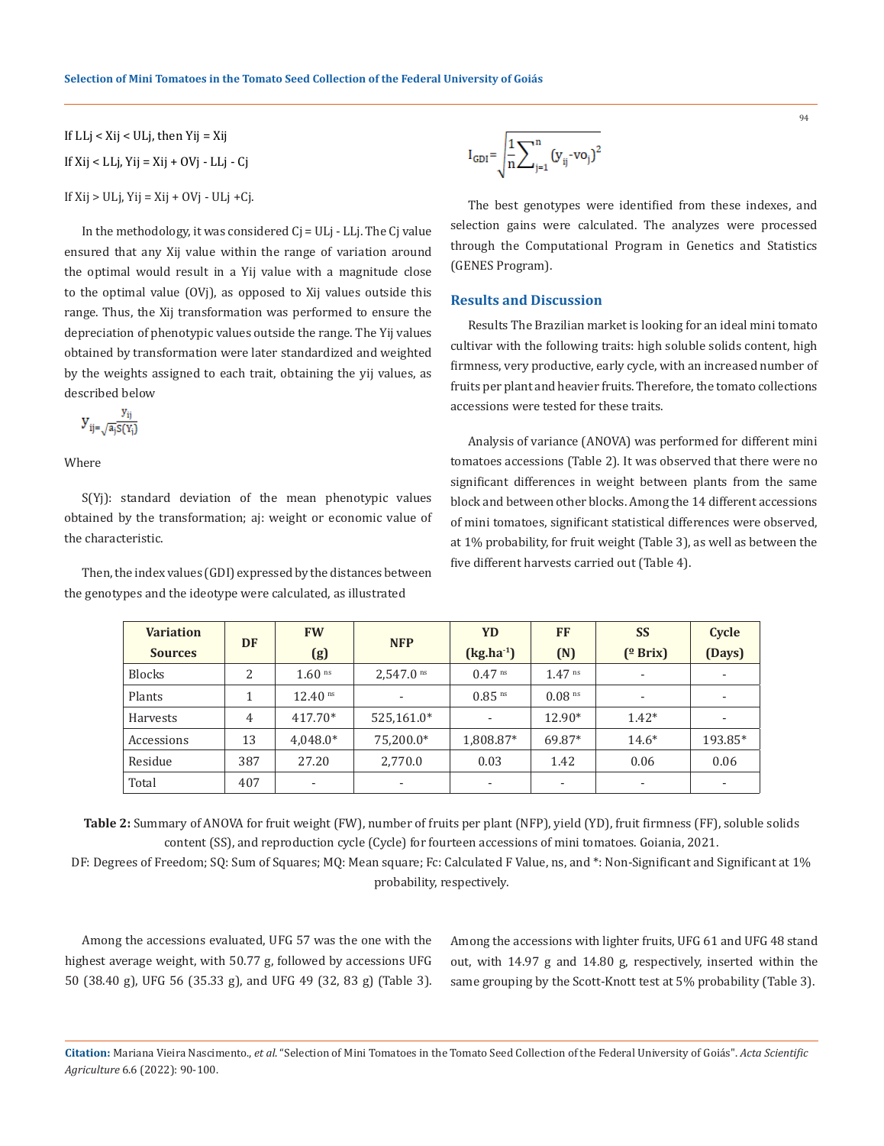If LLj < Xij < ULj, then Yij = Xij If  $Xi$ i < LLj, Yij = Xij + OVj - LLj - Cj If  $Xij > ULj$ ,  $Yij = Xij + OVj - ULj + Cj$ .

In the methodology, it was considered Cj = ULj - LLj. The Cj value ensured that any Xij value within the range of variation around the optimal would result in a Yij value with a magnitude close to the optimal value (OVj), as opposed to Xij values outside this range. Thus, the Xij transformation was performed to ensure the depreciation of phenotypic values outside the range. The Yij values obtained by transformation were later standardized and weighted by the weights assigned to each trait, obtaining the yij values, as described below

$$
y_{ij=\sqrt{a_j} \overline{S(Y_i)}}
$$

Where

S(Yj): standard deviation of the mean phenotypic values obtained by the transformation; aj: weight or economic value of the characteristic.

Then, the index values (GDI) expressed by the distances between the genotypes and the ideotype were calculated, as illustrated

$$
I_{GDI} = \sqrt{\frac{1}{n} \sum_{j=1}^{n} (y_{ij} - vo_j)^2}
$$

The best genotypes were identified from these indexes, and selection gains were calculated. The analyzes were processed through the Computational Program in Genetics and Statistics (GENES Program).

#### **Results and Discussion**

Results The Brazilian market is looking for an ideal mini tomato cultivar with the following traits: high soluble solids content, high firmness, very productive, early cycle, with an increased number of fruits per plant and heavier fruits. Therefore, the tomato collections accessions were tested for these traits.

Analysis of variance (ANOVA) was performed for different mini tomatoes accessions (Table 2). It was observed that there were no significant differences in weight between plants from the same block and between other blocks. Among the 14 different accessions of mini tomatoes, significant statistical differences were observed, at 1% probability, for fruit weight (Table 3), as well as between the five different harvests carried out (Table 4).

| <b>Variation</b> | <b>DF</b> | <b>FW</b>                | <b>NFP</b>               | <b>YD</b>            | <b>FF</b>            | <b>SS</b>        | Cycle                    |
|------------------|-----------|--------------------------|--------------------------|----------------------|----------------------|------------------|--------------------------|
| <b>Sources</b>   |           | (g)                      |                          | $(kg.ha^{-1})$       | (N)                  | $(^{\circ}Brix)$ | (Days)                   |
| <b>Blocks</b>    | 2         | 1.60 <sup>ns</sup>       | $2,547.0$ <sup>ns</sup>  | $0.47$ ns            | $1.47$ ns            | ۰                | $\overline{\phantom{a}}$ |
| Plants           |           | $12.40$ <sup>ns</sup>    | $\overline{\phantom{a}}$ | $0.85$ <sup>ns</sup> | $0.08$ <sup>ns</sup> | ۰                |                          |
| Harvests         | 4         | 417.70*                  | 525,161.0*               |                      | 12.90*               | $1.42*$          |                          |
| Accessions       | 13        | $4,048.0*$               | 75,200.0*                | 1,808.87*            | 69.87*               | $14.6*$          | 193.85*                  |
| Residue          | 387       | 27.20                    | 2,770.0                  | 0.03                 | 1.42                 | 0.06             | 0.06                     |
| Total            | 407       | $\overline{\phantom{a}}$ | $\overline{\phantom{a}}$ |                      |                      |                  |                          |

**Table 2:** Summary of ANOVA for fruit weight (FW), number of fruits per plant (NFP), yield (YD), fruit firmness (FF), soluble solids content (SS), and reproduction cycle (Cycle) for fourteen accessions of mini tomatoes. Goiania, 2021.

DF: Degrees of Freedom; SQ: Sum of Squares; MQ: Mean square; Fc: Calculated F Value, ns, and \*: Non-Significant and Significant at 1% probability, respectively.

Among the accessions evaluated, UFG 57 was the one with the highest average weight, with 50.77 g, followed by accessions UFG 50 (38.40 g), UFG 56 (35.33 g), and UFG 49 (32, 83 g) (Table 3). Among the accessions with lighter fruits, UFG 61 and UFG 48 stand out, with 14.97 g and 14.80 g, respectively, inserted within the same grouping by the Scott-Knott test at 5% probability (Table 3).

**Citation:** Mariana Vieira Nascimento., *et al*. "Selection of Mini Tomatoes in the Tomato Seed Collection of the Federal University of Goiás". *Acta Scientific Agriculture* 6.6 (2022): 90-100.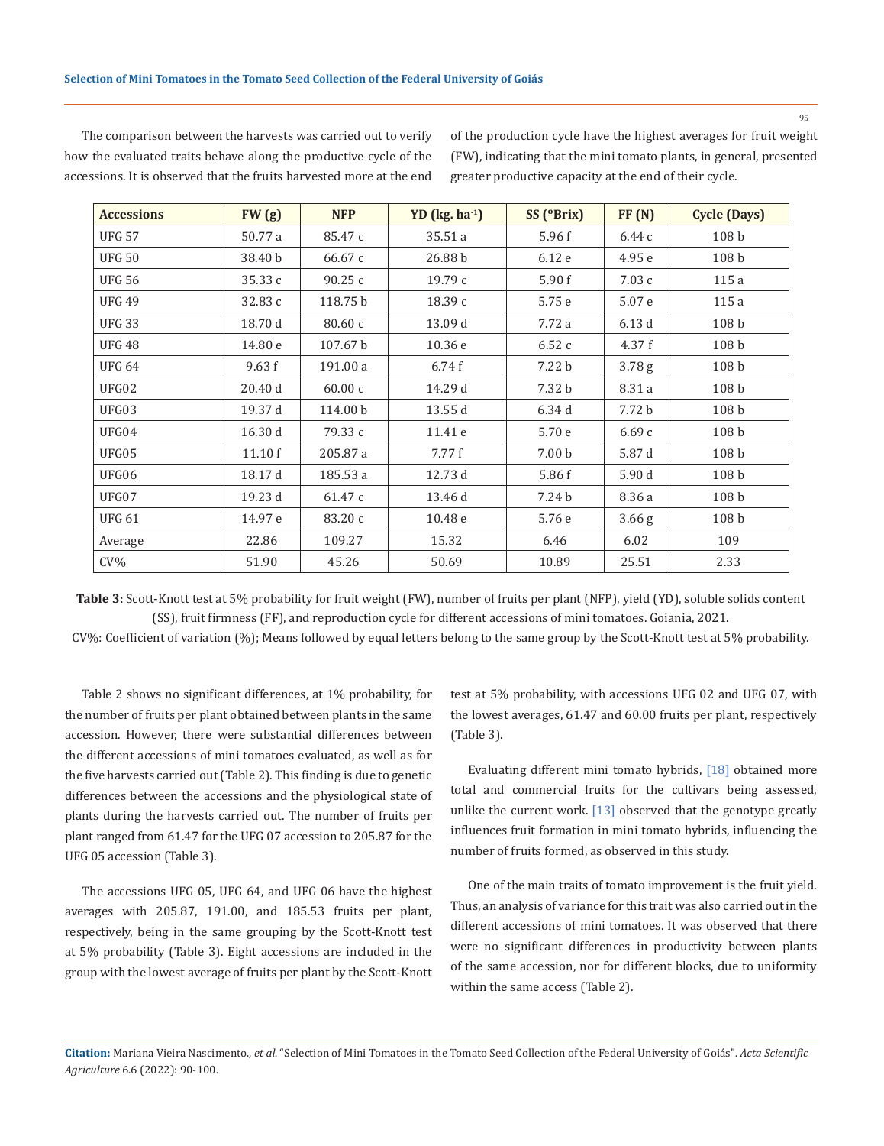| <b>Accessions</b> | FW(g)   | <b>NFP</b> | YD $(kg. ha-1)$ | $SS$ ( $Brix$ )   | FF(N)             | <b>Cycle (Days)</b> |  |
|-------------------|---------|------------|-----------------|-------------------|-------------------|---------------------|--|
| <b>UFG 57</b>     | 50.77 a | 85.47 c    | 35.51 a         | 5.96f             | 6.44 с            | 108 <sub>b</sub>    |  |
| <b>UFG 50</b>     | 38.40 b | 66.67 c    | 26.88 b         | 6.12 e            | 4.95e             | 108 <sub>b</sub>    |  |
| <b>UFG 56</b>     | 35.33 c | 90.25c     | 19.79c          | 5.90 f            | 7.03c             | 115a                |  |
| <b>UFG 49</b>     | 32.83 c | 118.75 b   | 18.39 с         | 5.75 e            | 5.07 e            | 115a                |  |
| <b>UFG 33</b>     | 18.70 d | 80.60 c    | 13.09 d         | 7.72a             | 6.13d             | 108 <sub>b</sub>    |  |
| <b>UFG 48</b>     | 14.80 e | 107.67 b   | 10.36 e         | 6.52c             | 4.37 f            | 108 <sub>b</sub>    |  |
| <b>UFG 64</b>     | 9.63 f  | 191.00 a   | 6.74f           | 7.22 b            | 3.78 <sub>g</sub> | 108 <sub>b</sub>    |  |
| UFG02             | 20.40 d | 60.00c     | 14.29 d         | 7.32 b            | 8.31 a            | 108 <sub>b</sub>    |  |
| UFG03             | 19.37 d | 114.00 b   | 13.55 d         | 6.34d             | 7.72 b            | 108 <sub>b</sub>    |  |
| UFG04             | 16.30 d | 79.33 c    | 11.41 e         | 5.70 e            | 6.69c             | 108 <sub>b</sub>    |  |
| UFG05             | 11.10f  | 205.87 a   | 7.77f           | 7.00 <sub>b</sub> | 5.87 d            | 108 <sub>b</sub>    |  |
| UFG06             | 18.17 d | 185.53 a   | 12.73 d         | 5.86 f            | 5.90 d            | 108 <sub>b</sub>    |  |
| UFG07             | 19.23 d | 61.47 c    | 13.46 d         | 7.24 b            | 8.36 a            | 108 <sub>b</sub>    |  |
| <b>UFG 61</b>     | 14.97 e | 83.20 c    | 10.48 e         | 5.76 e            | 3.66 <sub>g</sub> | 108 <sub>b</sub>    |  |
| Average           | 22.86   | 109.27     | 15.32           | 6.46              | 6.02              | 109                 |  |
| $CV\%$            | 51.90   | 45.26      | 50.69           | 10.89             | 25.51             | 2.33                |  |

The comparison between the harvests was carried out to verify how the evaluated traits behave along the productive cycle of the accessions. It is observed that the fruits harvested more at the end of the production cycle have the highest averages for fruit weight (FW), indicating that the mini tomato plants, in general, presented greater productive capacity at the end of their cycle.

**Table 3:** Scott-Knott test at 5% probability for fruit weight (FW), number of fruits per plant (NFP), yield (YD), soluble solids content (SS), fruit firmness (FF), and reproduction cycle for different accessions of mini tomatoes. Goiania, 2021.

CV%: Coefficient of variation (%); Means followed by equal letters belong to the same group by the Scott-Knott test at 5% probability.

Table 2 shows no significant differences, at 1% probability, for the number of fruits per plant obtained between plants in the same accession. However, there were substantial differences between the different accessions of mini tomatoes evaluated, as well as for the five harvests carried out (Table 2). This finding is due to genetic differences between the accessions and the physiological state of plants during the harvests carried out. The number of fruits per plant ranged from 61.47 for the UFG 07 accession to 205.87 for the UFG 05 accession (Table 3).

The accessions UFG 05, UFG 64, and UFG 06 have the highest averages with 205.87, 191.00, and 185.53 fruits per plant, respectively, being in the same grouping by the Scott-Knott test at 5% probability (Table 3). Eight accessions are included in the group with the lowest average of fruits per plant by the Scott-Knott test at 5% probability, with accessions UFG 02 and UFG 07, with the lowest averages, 61.47 and 60.00 fruits per plant, respectively (Table 3).

Evaluating different mini tomato hybrids, [18] obtained more total and commercial fruits for the cultivars being assessed, unlike the current work. [13] observed that the genotype greatly influences fruit formation in mini tomato hybrids, influencing the number of fruits formed, as observed in this study.

One of the main traits of tomato improvement is the fruit yield. Thus, an analysis of variance for this trait was also carried out in the different accessions of mini tomatoes. It was observed that there were no significant differences in productivity between plants of the same accession, nor for different blocks, due to uniformity within the same access (Table 2).

**Citation:** Mariana Vieira Nascimento., *et al*. "Selection of Mini Tomatoes in the Tomato Seed Collection of the Federal University of Goiás". *Acta Scientific Agriculture* 6.6 (2022): 90-100.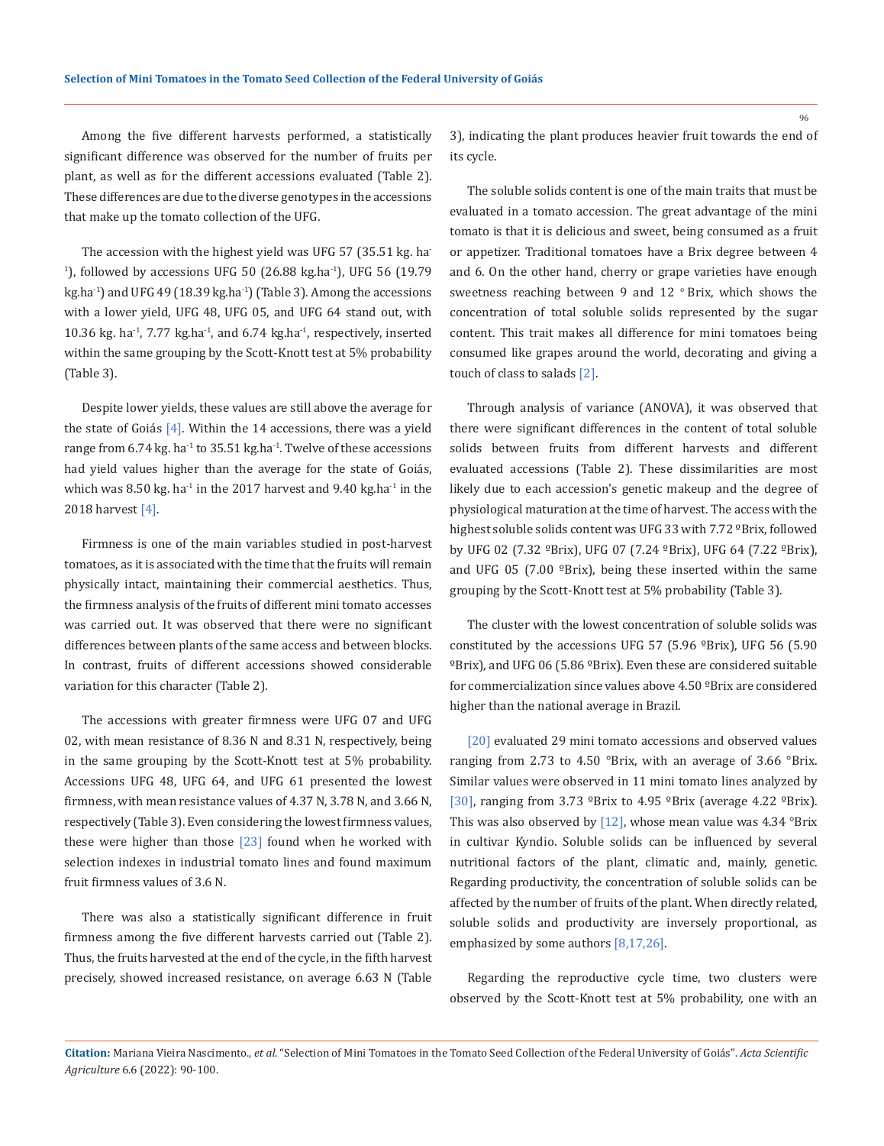Among the five different harvests performed, a statistically significant difference was observed for the number of fruits per plant, as well as for the different accessions evaluated (Table 2). These differences are due to the diverse genotypes in the accessions that make up the tomato collection of the UFG.

The accession with the highest yield was UFG 57 (35.51 kg. ha- $^{1}$ ), followed by accessions UFG 50 (26.88 kg.ha<sup>-1</sup>), UFG 56 (19.79) kg.ha<sup>-1</sup>) and UFG 49 (18.39 kg.ha<sup>-1</sup>) (Table 3). Among the accessions with a lower yield, UFG 48, UFG 05, and UFG 64 stand out, with 10.36 kg. ha $^{-1}$ , 7.77 kg.ha $^{-1}$ , and 6.74 kg.ha $^{-1}$ , respectively, inserted within the same grouping by the Scott-Knott test at 5% probability (Table 3).

Despite lower yields, these values are still above the average for the state of Goiás  $[4]$ . Within the 14 accessions, there was a yield range from  $6.74$  kg. ha<sup>-1</sup> to  $35.51$  kg.ha<sup>-1</sup>. Twelve of these accessions had yield values higher than the average for the state of Goiás, which was 8.50 kg. ha<sup>-1</sup> in the 2017 harvest and 9.40 kg.ha<sup>-1</sup> in the 2018 harvest [4].

Firmness is one of the main variables studied in post-harvest tomatoes, as it is associated with the time that the fruits will remain physically intact, maintaining their commercial aesthetics. Thus, the firmness analysis of the fruits of different mini tomato accesses was carried out. It was observed that there were no significant differences between plants of the same access and between blocks. In contrast, fruits of different accessions showed considerable variation for this character (Table 2).

The accessions with greater firmness were UFG 07 and UFG 02, with mean resistance of 8.36 N and 8.31 N, respectively, being in the same grouping by the Scott-Knott test at 5% probability. Accessions UFG 48, UFG 64, and UFG 61 presented the lowest firmness, with mean resistance values of 4.37 N, 3.78 N, and 3.66 N, respectively (Table 3). Even considering the lowest firmness values, these were higher than those [23] found when he worked with selection indexes in industrial tomato lines and found maximum fruit firmness values of 3.6 N.

There was also a statistically significant difference in fruit firmness among the five different harvests carried out (Table 2). Thus, the fruits harvested at the end of the cycle, in the fifth harvest precisely, showed increased resistance, on average 6.63 N (Table 3), indicating the plant produces heavier fruit towards the end of its cycle.

The soluble solids content is one of the main traits that must be evaluated in a tomato accession. The great advantage of the mini tomato is that it is delicious and sweet, being consumed as a fruit or appetizer. Traditional tomatoes have a Brix degree between 4 and 6. On the other hand, cherry or grape varieties have enough sweetness reaching between 9 and 12 $\degree$ Brix, which shows the concentration of total soluble solids represented by the sugar content. This trait makes all difference for mini tomatoes being consumed like grapes around the world, decorating and giving a touch of class to salads [2].

Through analysis of variance (ANOVA), it was observed that there were significant differences in the content of total soluble solids between fruits from different harvests and different evaluated accessions (Table 2). These dissimilarities are most likely due to each accession's genetic makeup and the degree of physiological maturation at the time of harvest. The access with the highest soluble solids content was UFG 33 with 7.72 °Brix, followed by UFG 02 (7.32 ºBrix), UFG 07 (7.24 ºBrix), UFG 64 (7.22 ºBrix), and UFG 05 (7.00  $^{\circ}$ Brix), being these inserted within the same grouping by the Scott-Knott test at 5% probability (Table 3).

The cluster with the lowest concentration of soluble solids was constituted by the accessions UFG 57 (5.96 ºBrix), UFG 56 (5.90 ºBrix), and UFG 06 (5.86 ºBrix). Even these are considered suitable for commercialization since values above 4.50 ºBrix are considered higher than the national average in Brazil.

[20] evaluated 29 mini tomato accessions and observed values ranging from 2.73 to 4.50 °Brix, with an average of 3.66 °Brix. Similar values were observed in 11 mini tomato lines analyzed by [30], ranging from 3.73 ºBrix to 4.95 ºBrix (average 4.22 ºBrix). This was also observed by  $[12]$ , whose mean value was 4.34 °Brix in cultivar Kyndio. Soluble solids can be influenced by several nutritional factors of the plant, climatic and, mainly, genetic. Regarding productivity, the concentration of soluble solids can be affected by the number of fruits of the plant. When directly related, soluble solids and productivity are inversely proportional, as emphasized by some authors [8,17,26].

Regarding the reproductive cycle time, two clusters were observed by the Scott-Knott test at 5% probability, one with an

**Citation:** Mariana Vieira Nascimento., *et al*. "Selection of Mini Tomatoes in the Tomato Seed Collection of the Federal University of Goiás". *Acta Scientific Agriculture* 6.6 (2022): 90-100.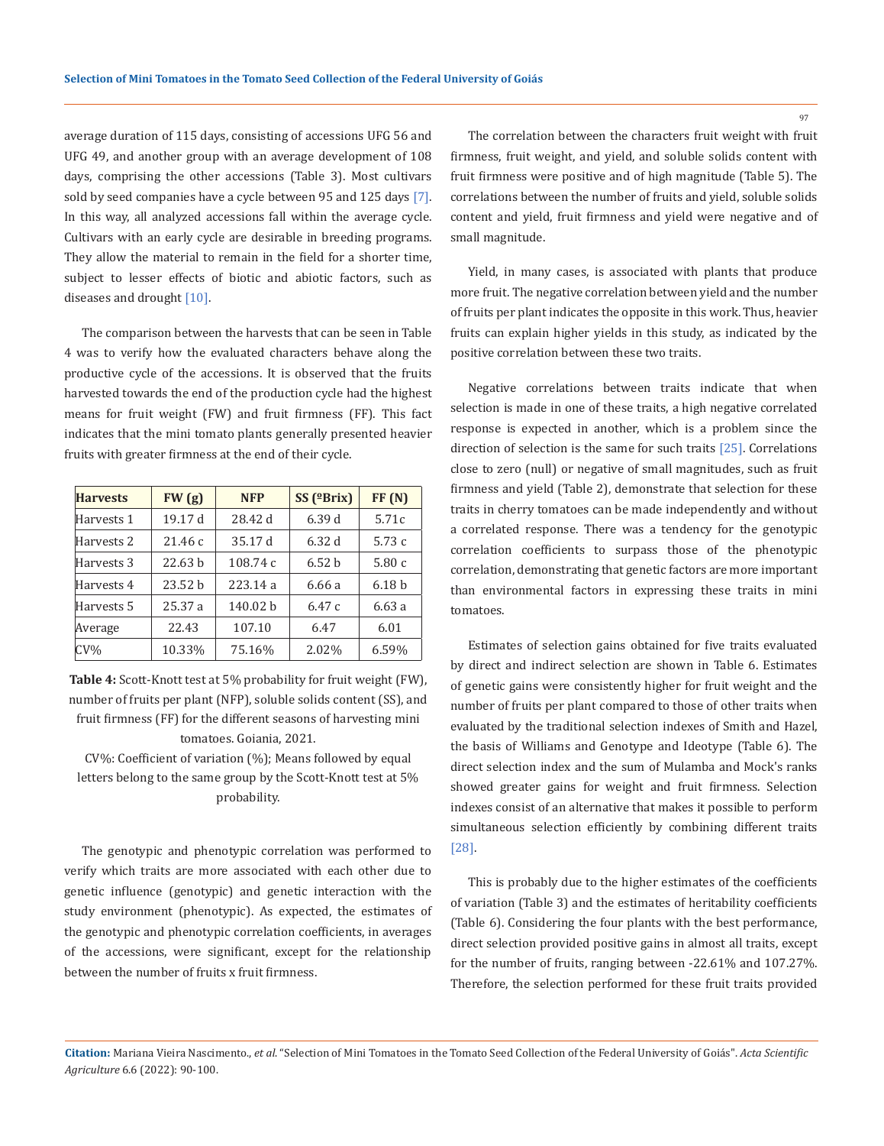average duration of 115 days, consisting of accessions UFG 56 and UFG 49, and another group with an average development of 108 days, comprising the other accessions (Table 3). Most cultivars sold by seed companies have a cycle between 95 and 125 days [7]. In this way, all analyzed accessions fall within the average cycle. Cultivars with an early cycle are desirable in breeding programs. They allow the material to remain in the field for a shorter time, subject to lesser effects of biotic and abiotic factors, such as diseases and drought [10].

The comparison between the harvests that can be seen in Table 4 was to verify how the evaluated characters behave along the productive cycle of the accessions. It is observed that the fruits harvested towards the end of the production cycle had the highest means for fruit weight (FW) and fruit firmness (FF). This fact indicates that the mini tomato plants generally presented heavier fruits with greater firmness at the end of their cycle.

| <b>Harvests</b> | FW(g)              | <b>NFP</b> | SS $($ <sup>o</sup> Brix $)$ | FF(N)             |
|-----------------|--------------------|------------|------------------------------|-------------------|
| Harvests 1      | 19.17 d            | 28.42 d    | 6.39 d                       | 5.71c             |
| Harvests 2      | 21.46c             | 35.17 d    | 6.32d                        | 5.73c             |
| Harvests 3      | 22.63 <sub>b</sub> | 108.74 c   | 6.52 <sub>b</sub>            | 5.80c             |
| Harvests 4      | 23.52h             | 223.14a    | 6.66 a                       | 6.18 <sub>b</sub> |
| Harvests 5      | 25.37a             | 140.02 b   | 6.47c                        | 6.63a             |
| Average         | 22.43              | 107.10     | 6.47                         | 6.01              |
| $CV\%$          | 10.33%             | 75.16%     | 2.02%                        | 6.59%             |

**Table 4:** Scott-Knott test at 5% probability for fruit weight (FW), number of fruits per plant (NFP), soluble solids content (SS), and fruit firmness (FF) for the different seasons of harvesting mini tomatoes. Goiania, 2021.

CV%: Coefficient of variation (%); Means followed by equal letters belong to the same group by the Scott-Knott test at 5% probability.

The genotypic and phenotypic correlation was performed to verify which traits are more associated with each other due to genetic influence (genotypic) and genetic interaction with the study environment (phenotypic). As expected, the estimates of the genotypic and phenotypic correlation coefficients, in averages of the accessions, were significant, except for the relationship between the number of fruits x fruit firmness.

The correlation between the characters fruit weight with fruit firmness, fruit weight, and yield, and soluble solids content with fruit firmness were positive and of high magnitude (Table 5). The correlations between the number of fruits and yield, soluble solids content and yield, fruit firmness and yield were negative and of small magnitude.

Yield, in many cases, is associated with plants that produce more fruit. The negative correlation between yield and the number of fruits per plant indicates the opposite in this work. Thus, heavier fruits can explain higher yields in this study, as indicated by the positive correlation between these two traits.

Negative correlations between traits indicate that when selection is made in one of these traits, a high negative correlated response is expected in another, which is a problem since the direction of selection is the same for such traits [25]. Correlations close to zero (null) or negative of small magnitudes, such as fruit firmness and yield (Table 2), demonstrate that selection for these traits in cherry tomatoes can be made independently and without a correlated response. There was a tendency for the genotypic correlation coefficients to surpass those of the phenotypic correlation, demonstrating that genetic factors are more important than environmental factors in expressing these traits in mini tomatoes.

Estimates of selection gains obtained for five traits evaluated by direct and indirect selection are shown in Table 6. Estimates of genetic gains were consistently higher for fruit weight and the number of fruits per plant compared to those of other traits when evaluated by the traditional selection indexes of Smith and Hazel, the basis of Williams and Genotype and Ideotype (Table 6). The direct selection index and the sum of Mulamba and Mock's ranks showed greater gains for weight and fruit firmness. Selection indexes consist of an alternative that makes it possible to perform simultaneous selection efficiently by combining different traits [28].

This is probably due to the higher estimates of the coefficients of variation (Table 3) and the estimates of heritability coefficients (Table 6). Considering the four plants with the best performance, direct selection provided positive gains in almost all traits, except for the number of fruits, ranging between -22.61% and 107.27%. Therefore, the selection performed for these fruit traits provided

**Citation:** Mariana Vieira Nascimento., *et al*. "Selection of Mini Tomatoes in the Tomato Seed Collection of the Federal University of Goiás". *Acta Scientific Agriculture* 6.6 (2022): 90-100.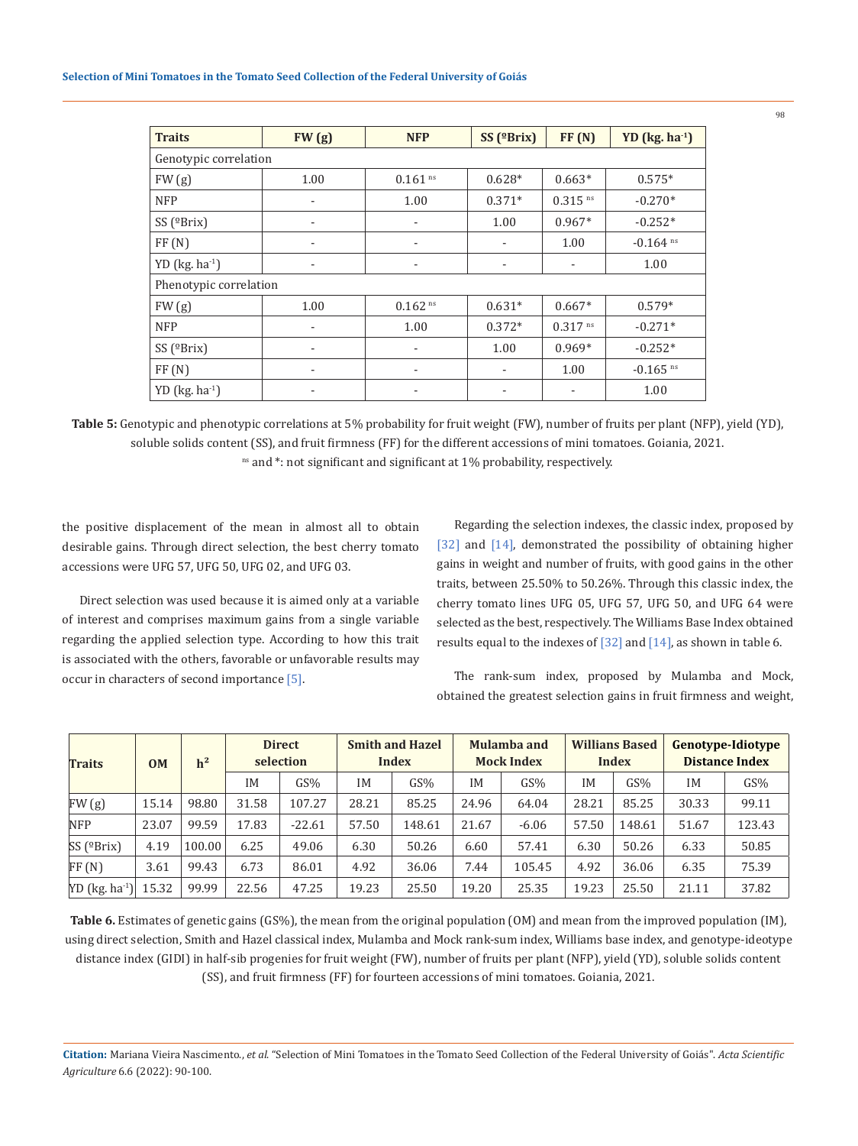| <b>Traits</b>           | FW(g)                    | <b>NFP</b>            | $SS$ ( $Brix$ )          | FF(N)                 | YD (kg. ha <sup>-1</sup> ) |  |  |  |  |  |
|-------------------------|--------------------------|-----------------------|--------------------------|-----------------------|----------------------------|--|--|--|--|--|
| Genotypic correlation   |                          |                       |                          |                       |                            |  |  |  |  |  |
| FW(g)                   | 1.00                     | $0.161$ <sup>ns</sup> | $0.628*$                 | $0.663*$              | $0.575*$                   |  |  |  |  |  |
| <b>NFP</b>              | ٠                        | 1.00                  | $0.371*$                 | $0.315$ <sup>ns</sup> | $-0.270*$                  |  |  |  |  |  |
| SS ( $^{\circ}$ Brix)   |                          |                       | 1.00                     | $0.967*$              | $-0.252*$                  |  |  |  |  |  |
| FF(N)                   | $\overline{\phantom{a}}$ | ۰                     | $\overline{\phantom{a}}$ | 1.00                  | $-0.164$ ns                |  |  |  |  |  |
| YD ( $kg$ . $ha^{-1}$ ) |                          |                       | -                        |                       | 1.00                       |  |  |  |  |  |
| Phenotypic correlation  |                          |                       |                          |                       |                            |  |  |  |  |  |
| FW(g)                   | 1.00                     | $0.162$ <sup>ns</sup> | $0.631*$                 | $0.667*$              | $0.579*$                   |  |  |  |  |  |
| <b>NFP</b>              |                          | 1.00                  | $0.372*$                 | $0.317$ ns            | $-0.271*$                  |  |  |  |  |  |
| SS ( $^{\circ}$ Brix)   |                          |                       | 1.00                     | $0.969*$              | $-0.252*$                  |  |  |  |  |  |
| FF(N)                   | -                        |                       | $\overline{\phantom{a}}$ | 1.00                  | $-0.165$ <sup>ns</sup>     |  |  |  |  |  |
| $YD$ (kg. ha $^{-1}$ )  |                          |                       |                          |                       | 1.00                       |  |  |  |  |  |

**Table 5:** Genotypic and phenotypic correlations at 5% probability for fruit weight (FW), number of fruits per plant (NFP), yield (YD), soluble solids content (SS), and fruit firmness (FF) for the different accessions of mini tomatoes. Goiania, 2021. ns and \*: not significant and significant at 1% probability, respectively.

the positive displacement of the mean in almost all to obtain desirable gains. Through direct selection, the best cherry tomato accessions were UFG 57, UFG 50, UFG 02, and UFG 03.

Direct selection was used because it is aimed only at a variable of interest and comprises maximum gains from a single variable regarding the applied selection type. According to how this trait is associated with the others, favorable or unfavorable results may occur in characters of second importance [5].

Regarding the selection indexes, the classic index, proposed by [32] and [14], demonstrated the possibility of obtaining higher gains in weight and number of fruits, with good gains in the other traits, between 25.50% to 50.26%. Through this classic index, the cherry tomato lines UFG 05, UFG 57, UFG 50, and UFG 64 were selected as the best, respectively. The Williams Base Index obtained results equal to the indexes of [32] and [14], as shown in table 6.

The rank-sum index, proposed by Mulamba and Mock, obtained the greatest selection gains in fruit firmness and weight,

| <b>Traits</b>                | <b>OM</b> | h <sup>2</sup> |           | <b>Direct</b><br>selection |           | <b>Smith and Hazel</b><br><b>Index</b> |       | Mulamba and<br><b>Mock Index</b> |       | <b>Willians Based</b><br><b>Index</b> |       | <b>Genotype-Idiotype</b><br><b>Distance Index</b> |  |
|------------------------------|-----------|----------------|-----------|----------------------------|-----------|----------------------------------------|-------|----------------------------------|-------|---------------------------------------|-------|---------------------------------------------------|--|
|                              |           |                | <b>IM</b> | GS%                        | <b>IM</b> | GS%                                    | IM    | GS%                              | IM    | GS%                                   | ΙM    | GS%                                               |  |
| FW(g)                        | 15.14     | 98.80          | 31.58     | 107.27                     | 28.21     | 85.25                                  | 24.96 | 64.04                            | 28.21 | 85.25                                 | 30.33 | 99.11                                             |  |
| <b>NFP</b>                   | 23.07     | 99.59          | 17.83     | $-22.61$                   | 57.50     | 148.61                                 | 21.67 | $-6.06$                          | 57.50 | 148.61                                | 51.67 | 123.43                                            |  |
| $SS$ ( $^{\circ}Brix$ )      | 4.19      | 100.00         | 6.25      | 49.06                      | 6.30      | 50.26                                  | 6.60  | 57.41                            | 6.30  | 50.26                                 | 6.33  | 50.85                                             |  |
| FF(N)                        | 3.61      | 99.43          | 6.73      | 86.01                      | 4.92      | 36.06                                  | 7.44  | 105.45                           | 4.92  | 36.06                                 | 6.35  | 75.39                                             |  |
| $YD$ (kg. ha <sup>-1</sup> ) | 15.32     | 99.99          | 22.56     | 47.25                      | 19.23     | 25.50                                  | 19.20 | 25.35                            | 19.23 | 25.50                                 | 21.11 | 37.82                                             |  |

**Table 6.** Estimates of genetic gains (GS%), the mean from the original population (OM) and mean from the improved population (IM), using direct selection, Smith and Hazel classical index, Mulamba and Mock rank-sum index, Williams base index, and genotype-ideotype distance index (GIDI) in half-sib progenies for fruit weight (FW), number of fruits per plant (NFP), yield (YD), soluble solids content (SS), and fruit firmness (FF) for fourteen accessions of mini tomatoes. Goiania, 2021.

**Citation:** Mariana Vieira Nascimento., *et al*. "Selection of Mini Tomatoes in the Tomato Seed Collection of the Federal University of Goiás". *Acta Scientific Agriculture* 6.6 (2022): 90-100.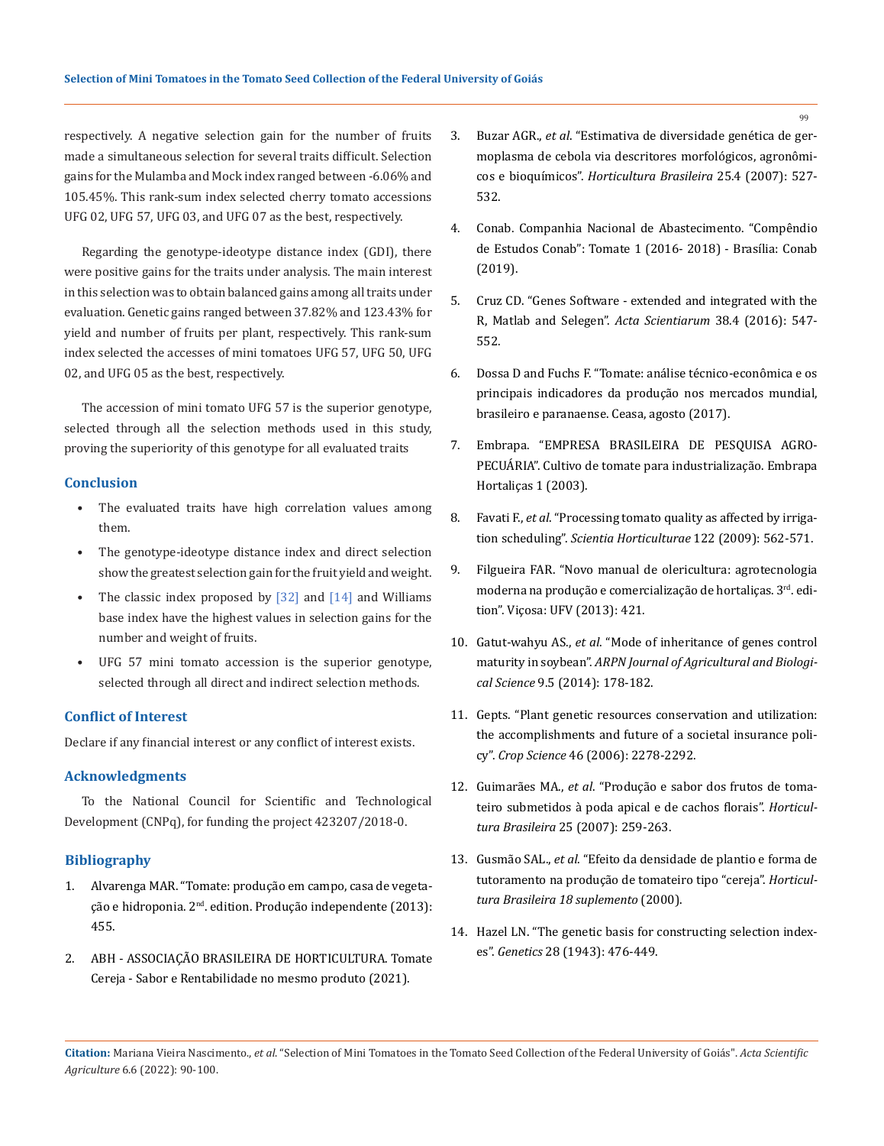respectively. A negative selection gain for the number of fruits made a simultaneous selection for several traits difficult. Selection gains for the Mulamba and Mock index ranged between -6.06% and 105.45%. This rank-sum index selected cherry tomato accessions UFG 02, UFG 57, UFG 03, and UFG 07 as the best, respectively.

Regarding the genotype-ideotype distance index (GDI), there were positive gains for the traits under analysis. The main interest in this selection was to obtain balanced gains among all traits under evaluation. Genetic gains ranged between 37.82% and 123.43% for yield and number of fruits per plant, respectively. This rank-sum index selected the accesses of mini tomatoes UFG 57, UFG 50, UFG 02, and UFG 05 as the best, respectively.

The accession of mini tomato UFG 57 is the superior genotype, selected through all the selection methods used in this study, proving the superiority of this genotype for all evaluated traits

### **Conclusion**

- The evaluated traits have high correlation values among them.
- The genotype-ideotype distance index and direct selection show the greatest selection gain for the fruit yield and weight.
- The classic index proposed by  $[32]$  and  $[14]$  and Williams base index have the highest values in selection gains for the number and weight of fruits.
- UFG 57 mini tomato accession is the superior genotype, selected through all direct and indirect selection methods.

## **Conflict of Interest**

Declare if any financial interest or any conflict of interest exists.

### **Acknowledgments**

To the National Council for Scientific and Technological Development (CNPq), for funding the project 423207/2018-0.

## **Bibliography**

- 1. [Alvarenga MAR. "Tomate: produção em campo, casa de vegeta](https://www.worldcat.org/title/tomate-producao-em-campo-em-casa-de-vegetacao-e-em-hidroponia/oclc/709890231)ção e hidroponia. 2nd[. edition. Produção independente \(2013\):](https://www.worldcat.org/title/tomate-producao-em-campo-em-casa-de-vegetacao-e-em-hidroponia/oclc/709890231) [455.](https://www.worldcat.org/title/tomate-producao-em-campo-em-casa-de-vegetacao-e-em-hidroponia/oclc/709890231)
- 2. ABH ASSOCIAÇÃO BRASILEIRA DE HORTICULTURA. Tomate Cereja - Sabor e Rentabilidade no mesmo produto (2021).
- 3. Buzar AGR., *et al*[. "Estimativa de diversidade genética de ger](https://www.scielo.br/j/hb/a/B74vqfBqpK9ZgfybR5FPWKy/?format=pdf&lang=pt)[moplasma de cebola via descritores morfológicos, agronômi](https://www.scielo.br/j/hb/a/B74vqfBqpK9ZgfybR5FPWKy/?format=pdf&lang=pt)cos e bioquímicos". *[Horticultura Brasileira](https://www.scielo.br/j/hb/a/B74vqfBqpK9ZgfybR5FPWKy/?format=pdf&lang=pt)* 25.4 (2007): 527- [532.](https://www.scielo.br/j/hb/a/B74vqfBqpK9ZgfybR5FPWKy/?format=pdf&lang=pt)
- 4. [Conab. Companhia Nacional de Abastecimento. "Compêndio](https://www.conab.gov.br/institucional/publicacoes/compendio-de-estudos-da-conab)  [de Estudos Conab": Tomate 1 \(2016- 2018\) - Brasília: Conab](https://www.conab.gov.br/institucional/publicacoes/compendio-de-estudos-da-conab)  [\(2019\).](https://www.conab.gov.br/institucional/publicacoes/compendio-de-estudos-da-conab)
- 5. [Cruz CD. "Genes Software extended and integrated with the](https://www.scielo.br/j/asagr/a/sLvDYF5MYv9kWR5MKgxb6sL/?format=pdf&lang=en)  [R, Matlab and Selegen".](https://www.scielo.br/j/asagr/a/sLvDYF5MYv9kWR5MKgxb6sL/?format=pdf&lang=en) *Acta Scientiarum* 38.4 (2016): 547- [552.](https://www.scielo.br/j/asagr/a/sLvDYF5MYv9kWR5MKgxb6sL/?format=pdf&lang=en)
- 6. Dossa D and Fuchs F. "Tomate: análise técnico-econômica e os principais indicadores da produção nos mercados mundial, brasileiro e paranaense. Ceasa, agosto (2017).
- 7. Embrapa. "EMPRESA BRASILEIRA DE PESQUISA AGRO-PECUÁRIA". Cultivo de tomate para industrialização. Embrapa Hortaliças 1 (2003).
- 8. Favati F., *et al*[. "Processing tomato quality as affected by irriga](https://www.sciencedirect.com/science/article/abs/pii/S0304423809003203)tion scheduling". *[Scientia Horticulturae](https://www.sciencedirect.com/science/article/abs/pii/S0304423809003203)* 122 (2009): 562-571.
- 9. [Filgueira FAR. "Novo manual de olericultura: agrotecnologia](https://www.worldcat.org/title/novo-manual-de-olericultura-agrotecnologia-moderna-na-producao-e-comercializacao-de-hortalicas/oclc/709635494)  [moderna na produção e comercialização de hortaliças. 3](https://www.worldcat.org/title/novo-manual-de-olericultura-agrotecnologia-moderna-na-producao-e-comercializacao-de-hortalicas/oclc/709635494)rd. edi[tion". Viçosa: UFV \(2013\): 421.](https://www.worldcat.org/title/novo-manual-de-olericultura-agrotecnologia-moderna-na-producao-e-comercializacao-de-hortalicas/oclc/709635494)
- 10. Gatut-wahyu AS., *et al*. "Mode of inheritance of genes control maturity in soybean". *ARPN Journal of Agricultural and Biological Science* 9.5 (2014): 178-182.
- 11. [Gepts. "Plant genetic resources conservation and utilization:](https://acsess.onlinelibrary.wiley.com/doi/abs/10.2135/cropsci2006.03.0169gas)  [the accomplishments and future of a societal insurance poli](https://acsess.onlinelibrary.wiley.com/doi/abs/10.2135/cropsci2006.03.0169gas)cy". *Crop Science* [46 \(2006\): 2278-2292.](https://acsess.onlinelibrary.wiley.com/doi/abs/10.2135/cropsci2006.03.0169gas)
- 12. Guimarães MA., *et al*[. "Produção e sabor dos frutos de toma](https://www.scielo.br/j/hb/a/45V7fpwRmJcqm3SwFcxp95g/?lang=pt)[teiro submetidos à poda apical e de cachos florais".](https://www.scielo.br/j/hb/a/45V7fpwRmJcqm3SwFcxp95g/?lang=pt) *Horticultura Brasileira* [25 \(2007\): 259-263.](https://www.scielo.br/j/hb/a/45V7fpwRmJcqm3SwFcxp95g/?lang=pt)
- 13. Gusmão SAL., *et al*. "Efeito da densidade de plantio e forma de tutoramento na produção de tomateiro tipo "cereja". *Horticultura Brasileira 18 suplemento* (2000).
- 14. [Hazel LN. "The genetic basis for constructing selection index](https://www.ncbi.nlm.nih.gov/pmc/articles/PMC1209225/)es". *Genetics* [28 \(1943\): 476-449.](https://www.ncbi.nlm.nih.gov/pmc/articles/PMC1209225/)

 $\alpha$ 

**Citation:** Mariana Vieira Nascimento., *et al*. "Selection of Mini Tomatoes in the Tomato Seed Collection of the Federal University of Goiás". *Acta Scientific Agriculture* 6.6 (2022): 90-100.